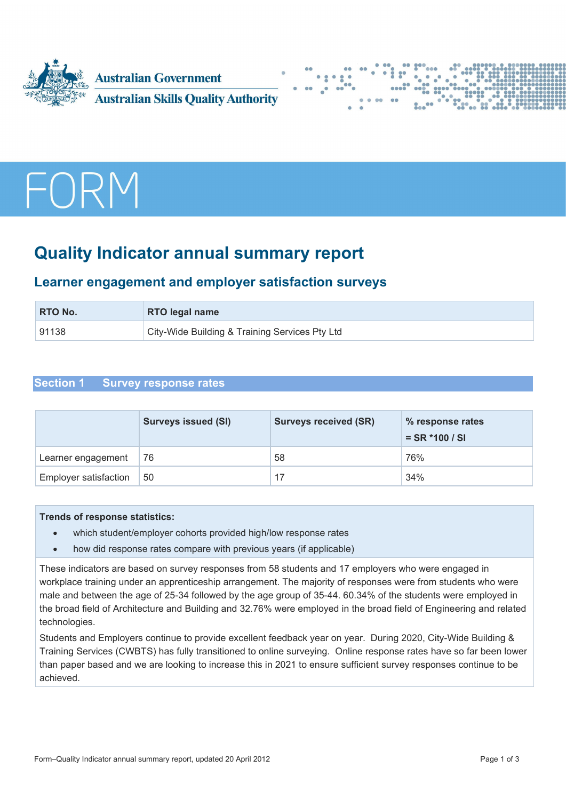![](_page_0_Picture_0.jpeg)

![](_page_0_Figure_1.jpeg)

![](_page_0_Picture_2.jpeg)

# **Quality Indicator annual summary report**

# **Learner engagement and employer satisfaction surveys**

| <b>RTO No.</b> | <b>RTO legal name</b>                          |  |
|----------------|------------------------------------------------|--|
| 91138          | City-Wide Building & Training Services Pty Ltd |  |

# **Section 1 Survey response rates**

|                              | <b>Surveys issued (SI)</b> | <b>Surveys received (SR)</b> | % response rates<br>$=$ SR $*$ 100 / SI |
|------------------------------|----------------------------|------------------------------|-----------------------------------------|
| Learner engagement           | 76                         | 58                           | 76%                                     |
| <b>Employer satisfaction</b> | 50                         | 17                           | 34%                                     |

#### **Trends of response statistics:**

- which student/employer cohorts provided high/low response rates
- how did response rates compare with previous years (if applicable)

These indicators are based on survey responses from 58 students and 17 employers who were engaged in workplace training under an apprenticeship arrangement. The majority of responses were from students who were male and between the age of 25-34 followed by the age group of 35-44. 60.34% of the students were employed in the broad field of Architecture and Building and 32.76% were employed in the broad field of Engineering and related technologies.

Students and Employers continue to provide excellent feedback year on year. During 2020, City-Wide Building & Training Services (CWBTS) has fully transitioned to online surveying. Online response rates have so far been lower than paper based and we are looking to increase this in 2021 to ensure sufficient survey responses continue to be achieved.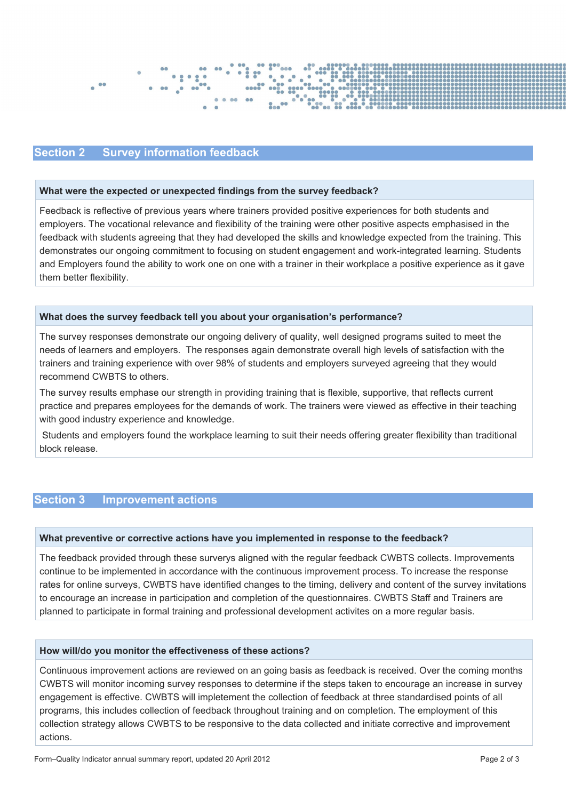![](_page_1_Figure_0.jpeg)

### **Section 2 Survey information feedback**

#### **What were the expected or unexpected findings from the survey feedback?**

Feedback is reflective of previous years where trainers provided positive experiences for both students and employers. The vocational relevance and flexibility of the training were other positive aspects emphasised in the feedback with students agreeing that they had developed the skills and knowledge expected from the training. This demonstrates our ongoing commitment to focusing on student engagement and work-integrated learning. Students and Employers found the ability to work one on one with a trainer in their workplace a positive experience as it gave them better flexibility.

#### **What does the survey feedback tell you about your organisation's performance?**

The survey responses demonstrate our ongoing delivery of quality, well designed programs suited to meet the needs of learners and employers. The responses again demonstrate overall high levels of satisfaction with the trainers and training experience with over 98% of students and employers surveyed agreeing that they would recommend CWBTS to others.

The survey results emphase our strength in providing training that is flexible, supportive, that reflects current practice and prepares employees for the demands of work. The trainers were viewed as effective in their teaching with good industry experience and knowledge.

Students and employers found the workplace learning to suit their needs offering greater flexibility than traditional block release.

## **Section 3 Improvement actions**

#### **What preventive or corrective actions have you implemented in response to the feedback?**

The feedback provided through these surverys aligned with the regular feedback CWBTS collects. Improvements continue to be implemented in accordance with the continuous improvement process. To increase the response rates for online surveys, CWBTS have identified changes to the timing, delivery and content of the survey invitations to encourage an increase in participation and completion of the questionnaires. CWBTS Staff and Trainers are planned to participate in formal training and professional development activites on a more regular basis.

#### **How will/do you monitor the effectiveness of these actions?**

Continuous improvement actions are reviewed on an going basis as feedback is received. Over the coming months CWBTS will monitor incoming survey responses to determine if the steps taken to encourage an increase in survey engagement is effective. CWBTS will impletement the collection of feedback at three standardised points of all programs, this includes collection of feedback throughout training and on completion. The employment of this collection strategy allows CWBTS to be responsive to the data collected and initiate corrective and improvement actions.